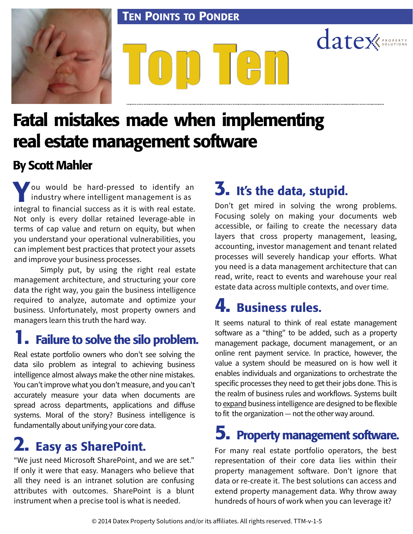#### TEN POINTS TO PONDER



# Top Ten

# Fatal mistakes made when implementing real estate management software

#### By Scott Mahler

ou would be hard-pressed to identify an industry where intelligent management is as industry where intelligent management is as integral to financial success as it is with real estate. Not only is every dollar retained leverage-able in terms of cap value and return on equity, but when you understand your operational vulnerabilities, you can implement best practices that protect your assets and improve your business processes.

 Simply put, by using the right real estate management architecture, and structuring your core data the right way, you gain the business intelligence required to analyze, automate and optimize your business. Unfortunately, most property owners and managers learn this truth the hard way.

#### **1.** Failure to solve the silo problem.

Real estate portfolio owners who don't see solving the data silo problem as integral to achieving business intelligence almost always make the other nine mistakes. You can't improve what you don't measure, and you can't accurately measure your data when documents are spread across departments, applications and diffuse systems. Moral of the story? Business intelligence is fundamentally about unifying your core data.

## 2. Easy as SharePoint.

"We just need Microsoft SharePoint, and we are set." If only it were that easy. Managers who believe that all they need is an intranet solution are confusing attributes with outcomes. SharePoint is a blunt instrument when a precise tool is what is needed.

#### 3. It's the data, stupid.

Don't get mired in solving the wrong problems. Focusing solely on making your documents web accessible, or failing to create the necessary data layers that cross property management, leasing, accounting, investor management and tenant related processes will severely handicap your efforts. What you need is a data management architecture that can read, write, react to events and warehouse your real estate data across multiple contexts, and over time.

datex

#### 4. Business rules.

It seems natural to think of real estate management software as a "thing" to be added, such as a property management package, document management, or an online rent payment service. In practice, however, the value a system should be measured on is how well it enables individuals and organizations to orchestrate the specific processes they need to get their jobs done. This is the realm of business rules and workflows. Systems built to expand business intelligence are designed to be flexible to fit the organization — not the other way around.

#### 5. Property management software.

For many real estate portfolio operators, the best representation of their core data lies within their property management software. Don't ignore that data or re-create it. The best solutions can access and extend property management data. Why throw away hundreds of hours of work when you can leverage it?